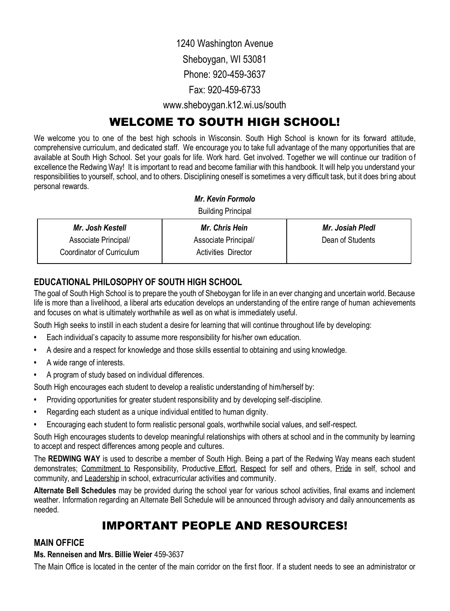1240 Washington Avenue

Sheboygan, WI 53081

Phone: 920-459-3637

Fax: 920-459-6733

www.sheboygan.k12.wi.us/south

# WELCOME TO SOUTH HIGH SCHOOL!

We welcome you to one of the best high schools in Wisconsin. South High School is known for its forward attitude, comprehensive curriculum, and dedicated staff. We encourage you to take full advantage of the many opportunities that are available at South High School. Set your goals for life. Work hard. Get involved. Together we will continue our tradition of excellence the Redwing Way! It is important to read and become familiar with this handbook. It will help you understand your responsibilities to yourself, school, and to others. Disciplining oneself is sometimes a very difficult task, but it does bri ng about personal rewards.

#### *Mr. Kevin Formolo*

Building Principal

| Mr. Josh Kestell          | <b>Mr. Chris Hein</b> | Mr. Josiah Pledl |
|---------------------------|-----------------------|------------------|
| Associate Principal/      | Associate Principal/  | Dean of Students |
| Coordinator of Curriculum | Activities Director   |                  |

# **EDUCATIONAL PHILOSOPHY OF SOUTH HIGH SCHOOL**

The goal of South High School is to prepare the youth of Sheboygan for life in an ever changing and uncertain world. Because life is more than a livelihood, a liberal arts education develops an understanding of the entire range of human achievements and focuses on what is ultimately worthwhile as well as on what is immediately useful.

South High seeks to instill in each student a desire for learning that will continue throughout life by developing:

- **•** Each individual's capacity to assume more responsibility for his/her own education.
- **•** A desire and a respect for knowledge and those skills essential to obtaining and using knowledge.
- **•** A wide range of interests.
- **•** A program of study based on individual differences.

South High encourages each student to develop a realistic understanding of him/herself by:

- **•** Providing opportunities for greater student responsibility and by developing self-discipline.
- **•** Regarding each student as a unique individual entitled to human dignity.
- **•** Encouraging each student to form realistic personal goals, worthwhile social values, and self-respect.

South High encourages students to develop meaningful relationships with others at school and in the community by learning to accept and respect differences among people and cultures.

The **REDWING WAY** is used to describe a member of South High. Being a part of the Redwing Way means each student demonstrates; Commitment to Responsibility, Productive Effort, Respect for self and others, Pride in self, school and community, and Leadership in school, extracurricular activities and community.

**Alternate Bell Schedules** may be provided during the school year for various school activities, final exams and inclement weather. Information regarding an Alternate Bell Schedule will be announced through advisory and daily announcements as needed.

# IMPORTANT PEOPLE AND RESOURCES!

# **MAIN OFFICE**

#### **Ms. Renneisen and Mrs. Billie Weier** 459-3637

The Main Office is located in the center of the main corridor on the first floor. If a student needs to see an administrator or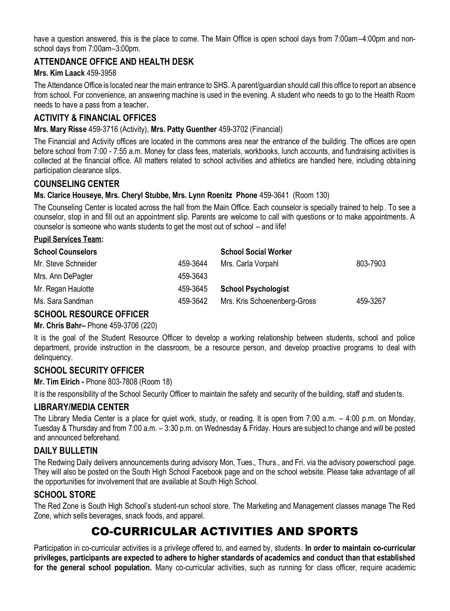have a question answered, this is the place to come. The Main Office is open school days from 7:00am–4:00pm and nonschool days from 7:00am–3:00pm.

### **ATTENDANCE OFFICE AND HEALTH DESK**

#### **Mrs. Kim Laack** 459-3958

The Attendance Office is located near the main entrance to SHS. A parent/guardian should call this office to report an absence from school. For convenience, an answering machine is used in the evening. A student who needs to go to the Health Room needs to have a pass from a teacher**.**

## **ACTIVITY & FINANCIAL OFFICES**

#### **Mrs. Mary Risse** 459-3716 (Activity), **Mrs. Patty Guenther** 459-3702 (Financial)

The Financial and Activity offices are located in the commons area near the entrance of the building. The offices are open before school from 7:00 - 7:55 a.m. Money for class fees, materials, workbooks, lunch accounts, and fundraising activities is collected at the financial office. All matters related to school activities and athletics are handled here, including obtaining participation clearance slips.

#### **COUNSELING CENTER**

#### **Ms. Clarice Houseye, Mrs. Cheryl Stubbe, Mrs. Lynn Roenitz Phone** 459-3641 (Room 130)

The Counseling Center is located across the hall from the Main Office. Each counselor is specially trained to help . To see a counselor, stop in and fill out an appointment slip. Parents are welcome to call with questions or to make appointments. A counselor is someone who wants students to get the most out of school – and life!

#### **Pupil Services Team:**

| <b>School Counselors</b> |          | <b>School Social Worker</b>  |          |
|--------------------------|----------|------------------------------|----------|
| Mr. Steve Schneider      | 459-3644 | Mrs. Carla Vorpahl           | 803-7903 |
| Mrs. Ann DePagter        | 459-3643 |                              |          |
| Mr. Regan Haulotte       | 459-3645 | <b>School Psychologist</b>   |          |
| Ms. Sara Sandman         | 459-3642 | Mrs. Kris Schoenenberg-Gross | 459-3267 |

### **SCHOOL RESOURCE OFFICER**

#### **Mr. Chris Bahr–** Phone 459-3706 (220)

It is the goal of the Student Resource Officer to develop a working relationship between students, school and police department, provide instruction in the classroom, be a resource person, and develop proactive programs to deal with delinquency.

#### **SCHOOL SECURITY OFFICER**

**Mr. Tim Eirich -** Phone 803-7808 (Room 18)

It is the responsibility of the School Security Officer to maintain the safety and security of the building, staff and studen ts.

### **LIBRARY/MEDIA CENTER**

The Library Media Center is a place for quiet work, study, or reading. It is open from 7:00 a.m. – 4:00 p.m. on Monday, Tuesday & Thursday and from 7:00 a.m. – 3:30 p.m. on Wednesday & Friday. Hours are subject to change and will be posted and announced beforehand.

### **DAILY BULLETIN**

The Redwing Daily delivers announcements during advisory Mon, Tues., Thurs., and Fri. via the advisory powerschool page. They will also be posted on the South High School Facebook page and on the school website. Please take advantage of all the opportunities for involvement that are available at South High School.

#### **SCHOOL STORE**

The Red Zone is South High School's student-run school store. The Marketing and Management classes manage The Red Zone, which sells beverages, snack foods, and apparel.

# CO-CURRICULAR ACTIVITIES AND SPORTS

Participation in co-curricular activities is a privilege offered to, and earned by, students. **In order to maintain co-curricular privileges, participants are expected to adhere to higher standards of academics and conduct than that established for the general school population.** Many co-curricular activities, such as running for class officer, require academic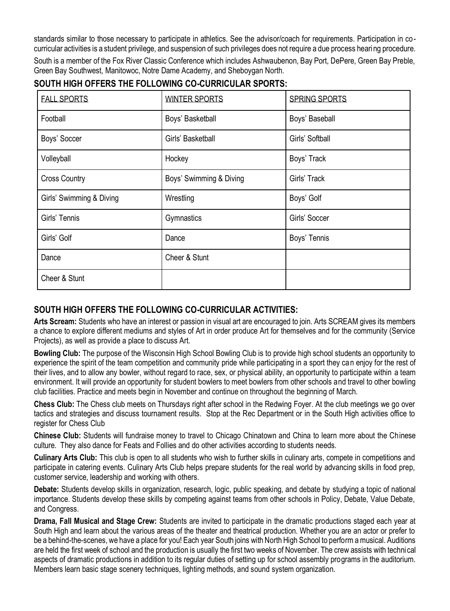standards similar to those necessary to participate in athletics. See the advisor/coach for requirements. Participation in cocurricular activities is a student privilege, and suspension of such privileges does not require a due process hearing procedure.

South is a member of the Fox River Classic Conference which includes Ashwaubenon, Bay Port, DePere, Green Bay Preble, Green Bay Southwest, Manitowoc, Notre Dame Academy, and Sheboygan North.

# **SOUTH HIGH OFFERS THE FOLLOWING CO-CURRICULAR SPORTS:**

| <b>FALL SPORTS</b>       | <b>WINTER SPORTS</b>    | <b>SPRING SPORTS</b> |
|--------------------------|-------------------------|----------------------|
| Football                 | Boys' Basketball        | Boys' Baseball       |
| Boys' Soccer             | Girls' Basketball       | Girls' Softball      |
| Volleyball               | Hockey                  | Boys' Track          |
| <b>Cross Country</b>     | Boys' Swimming & Diving | Girls' Track         |
| Girls' Swimming & Diving | Wrestling               | Boys' Golf           |
| Girls' Tennis            | Gymnastics              | Girls' Soccer        |
| Girls' Golf              | Dance                   | Boys' Tennis         |
| Dance                    | Cheer & Stunt           |                      |
| Cheer & Stunt            |                         |                      |

# **SOUTH HIGH OFFERS THE FOLLOWING CO-CURRICULAR ACTIVITIES:**

**Arts Scream:** Students who have an interest or passion in visual art are encouraged to join. Arts SCREAM gives its members a chance to explore different mediums and styles of Art in order produce Art for themselves and for the community (Service Projects), as well as provide a place to discuss Art.

**Bowling Club:** The purpose of the Wisconsin High School Bowling Club is to provide high school students an opportunity to experience the spirit of the team competition and community pride while participating in a sport they can enjoy for the rest of their lives, and to allow any bowler, without regard to race, sex, or physical ability, an opportunity to participate within a team environment. It will provide an opportunity for student bowlers to meet bowlers from other schools and travel to other bowling club facilities. Practice and meets begin in November and continue on throughout the beginning of March.

**Chess Club:** The Chess club meets on Thursdays right after school in the Redwing Foyer. At the club meetings we go over tactics and strategies and discuss tournament results. Stop at the Rec Department or in the South High activities office to register for Chess Club

**Chinese Club:** Students will fundraise money to travel to Chicago Chinatown and China to learn more about the Chinese culture. They also dance for Feats and Follies and do other activities according to students needs.

**Culinary Arts Club:** This club is open to all students who wish to further skills in culinary arts, compete in competitions and participate in catering events. Culinary Arts Club helps prepare students for the real world by advancing skills in food prep, customer service, leadership and working with others.

**Debate:** Students develop skills in organization, research, logic, public speaking, and debate by studying a topic of national importance. Students develop these skills by competing against teams from other schools in Policy, Debate, Value Debate, and Congress.

**Drama, Fall Musical and Stage Crew:** Students are invited to participate in the dramatic productions staged each year at South High and learn about the various areas of the theater and theatrical production. Whether you are an actor or prefer to be a behind-the-scenes, we have a place for you! Each year South joins with North High School to perform a musical. Auditions are held the first week of school and the production is usually the first two weeks of November. The crew assists with techni cal aspects of dramatic productions in addition to its regular duties of setting up for school assembly programs in the auditorium. Members learn basic stage scenery techniques, lighting methods, and sound system organization.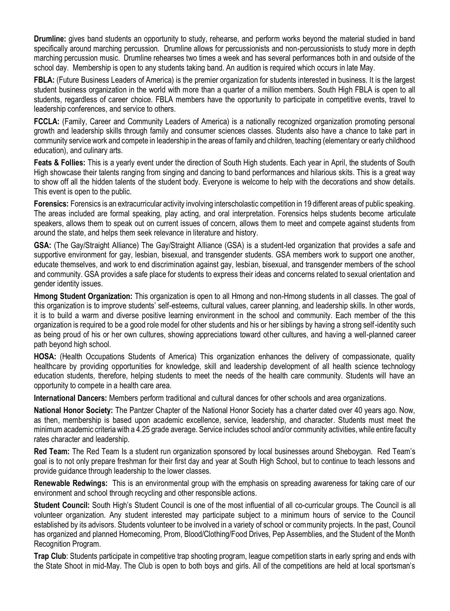**Drumline:** gives band students an opportunity to study, rehearse, and perform works beyond the material studied in band specifically around marching percussion. Drumline allows for percussionists and non-percussionists to study more in depth marching percussion music. Drumline rehearses two times a week and has several performances both in and outside of the school day. Membership is open to any students taking band. An audition is required which occurs in late May.

**FBLA:** (Future Business Leaders of America) is the premier organization for students interested in business. It is the largest student business organization in the world with more than a quarter of a million members. South High FBLA is open to all students, regardless of career choice. FBLA members have the opportunity to participate in competitive events, travel to leadership conferences, and service to others.

**FCCLA:** (Family, Career and Community Leaders of America) is a nationally recognized organization promoting personal growth and leadership skills through family and consumer sciences classes. Students also have a chance to take part in community service work and compete in leadership in the areas of family and children, teaching (elementary or early childhood education), and culinary arts.

**Feats & Follies:** This is a yearly event under the direction of South High students. Each year in April, the students of South High showcase their talents ranging from singing and dancing to band performances and hilarious skits. This is a great way to show off all the hidden talents of the student body. Everyone is welcome to help with the decorations and show details. This event is open to the public.

**Forensics:** Forensics is an extracurricular activity involving interscholastic competition in 19 different areas of public speaking. The areas included are formal speaking, play acting, and oral interpretation. Forensics helps students become articulate speakers, allows them to speak out on current issues of concern, allows them to meet and compete against students from around the state, and helps them seek relevance in literature and history.

**GSA:** (The Gay/Straight Alliance) The Gay/Straight Alliance (GSA) is a student-led organization that provides a safe and supportive environment for gay, lesbian, bisexual, and transgender students. GSA members work to support one another, educate themselves, and work to end discrimination against gay, lesbian, bisexual, and transgender members of the school and community. GSA provides a safe place for students to express their ideas and concerns related to sexual orientation and gender identity issues.

**Hmong Student Organization:** This organization is open to all Hmong and non-Hmong students in all classes. The goal of this organization is to improve students' self-esteems, cultural values, career planning, and leadership skills. In other words, it is to build a warm and diverse positive learning environment in the school and community. Each member of the this organization is required to be a good role model for other students and his or her siblings by having a strong self-identity such as being proud of his or her own cultures, showing appreciations toward other cultures, and having a well-planned career path beyond high school.

**HOSA:** (Health Occupations Students of America) This organization enhances the delivery of compassionate, quality healthcare by providing opportunities for knowledge, skill and leadership development of all health science technology education students, therefore, helping students to meet the needs of the health care community. Students will have an opportunity to compete in a health care area.

**International Dancers:** Members perform traditional and cultural dances for other schools and area organizations.

**National Honor Society:** The Pantzer Chapter of the National Honor Society has a charter dated over 40 years ago. Now, as then, membership is based upon academic excellence, service, leadership, and character. Students must meet the minimum academic criteria with a 4.25 grade average. Service includes school and/or community activities, while entire faculty rates character and leadership.

**Red Team:** The Red Team Is a student run organization sponsored by local businesses around Sheboygan. Red Team's goal is to not only prepare freshman for their first day and year at South High School, but to continue to teach lessons and provide guidance through leadership to the lower classes.

**Renewable Redwings:** This is an environmental group with the emphasis on spreading awareness for taking care of our environment and school through recycling and other responsible actions.

**Student Council:** South High's Student Council is one of the most influential of all co-curricular groups. The Council is all volunteer organization. Any student interested may participate subject to a minimum hours of service to the Council established by its advisors. Students volunteer to be involved in a variety of school or community projects. In the past, Council has organized and planned Homecoming, Prom, Blood/Clothing/Food Drives, Pep Assemblies, and the Student of the Month Recognition Program.

**Trap Club**: Students participate in competitive trap shooting program, league competition starts in early spring and ends with the State Shoot in mid-May. The Club is open to both boys and girls. All of the competitions are held at local sportsman's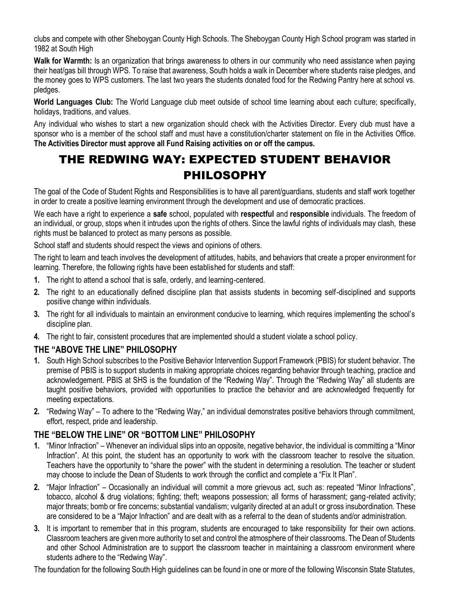clubs and compete with other Sheboygan County High Schools. The Sheboygan County High School program was started in 1982 at South High

**Walk for Warmth:** Is an organization that brings awareness to others in our community who need assistance when paying their heat/gas bill through WPS. To raise that awareness, South holds a walk in December where students raise pledges, and the money goes to WPS customers. The last two years the students donated food for the Redwing Pantry here at school vs. pledges.

**World Languages Club:** The World Language club meet outside of school time learning about each culture; specifically, holidays, traditions, and values.

Any individual who wishes to start a new organization should check with the Activities Director. Every club must have a sponsor who is a member of the school staff and must have a constitution/charter statement on file in the Activities Office. **The Activities Director must approve all Fund Raising activities on or off the campus.**

# THE REDWING WAY: EXPECTED STUDENT BEHAVIOR PHILOSOPHY

The goal of the Code of Student Rights and Responsibilities is to have all parent/guardians, students and staff work together in order to create a positive learning environment through the development and use of democratic practices.

We each have a right to experience a **safe** school, populated with **respectful** and **responsible** individuals. The freedom of an individual, or group, stops when it intrudes upon the rights of others. Since the lawful rights of individuals may clash, these rights must be balanced to protect as many persons as possible.

School staff and students should respect the views and opinions of others.

The right to learn and teach involves the development of attitudes, habits, and behaviors that create a proper environment for learning. Therefore, the following rights have been established for students and staff:

- **1.** The right to attend a school that is safe, orderly, and learning-centered.
- **2.** The right to an educationally defined discipline plan that assists students in becoming self-disciplined and supports positive change within individuals.
- **3.** The right for all individuals to maintain an environment conducive to learning, which requires implementing the school's discipline plan.
- **4.** The right to fair, consistent procedures that are implemented should a student violate a school policy.

# **THE "ABOVE THE LINE" PHILOSOPHY**

- **1.** South High School subscribes to the Positive Behavior Intervention Support Framework (PBIS) for student behavior. The premise of PBIS is to support students in making appropriate choices regarding behavior through teaching, practice and acknowledgement. PBIS at SHS is the foundation of the "Redwing Way". Through the "Redwing Way" all students are taught positive behaviors, provided with opportunities to practice the behavior and are acknowledged frequently for meeting expectations.
- **2.** "Redwing Way" To adhere to the "Redwing Way," an individual demonstrates positive behaviors through commitment, effort, respect, pride and leadership.

# **THE "BELOW THE LINE" OR "BOTTOM LINE" PHILOSOPHY**

- **1.** "Minor Infraction" Whenever an individual slips into an opposite, negative behavior, the individual is committing a "Minor Infraction". At this point, the student has an opportunity to work with the classroom teacher to resolve the situation. Teachers have the opportunity to "share the power" with the student in determining a resolution. The teacher or student may choose to include the Dean of Students to work through the conflict and complete a "Fix It Plan".
- **2.** "Major Infraction" Occasionally an individual will commit a more grievous act, such as: repeated "Minor Infractions", tobacco, alcohol & drug violations; fighting; theft; weapons possession; all forms of harassment; gang-related activity; major threats; bomb or fire concerns; substantial vandalism; vulgarity directed at an adult or gross insubordination. These are considered to be a "Major Infraction" and are dealt with as a referral to the dean of students and/or administration.
- **3.** It is important to remember that in this program, students are encouraged to take responsibility for their own actions. Classroom teachers are given more authority to set and control the atmosphere of their classrooms. The Dean of Students and other School Administration are to support the classroom teacher in maintaining a classroom environment where students adhere to the "Redwing Way".

The foundation for the following South High guidelines can be found in one or more of the following Wisconsin State Statutes,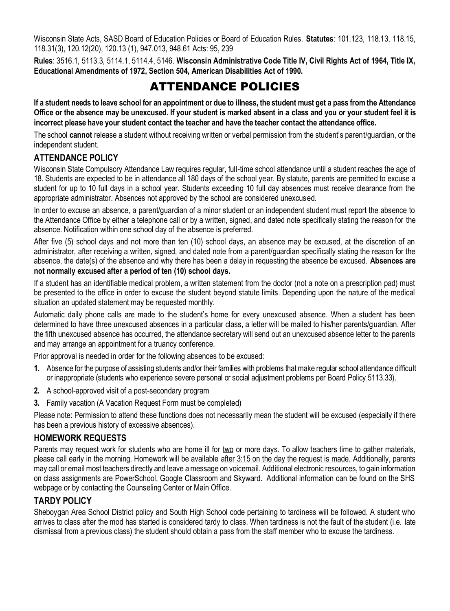Wisconsin State Acts, SASD Board of Education Policies or Board of Education Rules. **Statutes**: 101.123, 118.13, 118.15, 118.31(3), 120.12(20), 120.13 (1), 947.013, 948.61 Acts: 95, 239

**Rules**: 3516.1, 5113.3, 5114.1, 5114.4, 5146. **Wisconsin Administrative Code Title IV, Civil Rights Act of 1964, Title IX, Educational Amendments of 1972, Section 504, American Disabilities Act of 1990.**

# ATTENDANCE POLICIES

**If a student needs to leave school for an appointment or due to illness, the student must get a pass from the Attendance Office or the absence may be unexcused. If your student is marked absent in a class and you or your student feel it is incorrect please have your student contact the teacher and have the teacher contact the attendance office.**

The school **cannot** release a student without receiving written or verbal permission from the student's parent/guardian, or the independent student.

# **ATTENDANCE POLICY**

Wisconsin State Compulsory Attendance Law requires regular, full-time school attendance until a student reaches the age of 18. Students are expected to be in attendance all 180 days of the school year. By statute, parents are permitted to excuse a student for up to 10 full days in a school year. Students exceeding 10 full day absences must receive clearance from the appropriate administrator. Absences not approved by the school are considered unexcused.

In order to excuse an absence, a parent/guardian of a minor student or an independent student must report the absence to the Attendance Office by either a telephone call or by a written, signed, and dated note specifically stating the reason for the absence. Notification within one school day of the absence is preferred.

After five (5) school days and not more than ten (10) school days, an absence may be excused, at the discretion of an administrator, after receiving a written, signed, and dated note from a parent/guardian specifically stating the reason for the absence, the date(s) of the absence and why there has been a delay in requesting the absence be excused. **Absences are not normally excused after a period of ten (10) school days.**

If a student has an identifiable medical problem, a written statement from the doctor (not a note on a prescription pad) must be presented to the office in order to excuse the student beyond statute limits. Depending upon the nature of the medical situation an updated statement may be requested monthly.

Automatic daily phone calls are made to the student's home for every unexcused absence. When a student has been determined to have three unexcused absences in a particular class, a letter will be mailed to his/her parents/guardian. After the fifth unexcused absence has occurred, the attendance secretary will send out an unexcused absence letter to the parents and may arrange an appointment for a truancy conference.

Prior approval is needed in order for the following absences to be excused:

- **1.** Absence for the purpose of assisting students and/or their families with problems that make regular school attendance difficult or inappropriate (students who experience severe personal or social adjustment problems per Board Policy 5113.33).
- **2.** A school-approved visit of a post-secondary program
- **3.** Family vacation (A Vacation Request Form must be completed)

Please note: Permission to attend these functions does not necessarily mean the student will be excused (especially if there has been a previous history of excessive absences).

### **HOMEWORK REQUESTS**

Parents may request work for students who are home ill for two or more days. To allow teachers time to gather materials, please call early in the morning. Homework will be available after 3:15 on the day the request is made. Additionally, parents may call or email most teachers directly and leave a message on voicemail. Additional electronic resources, to gain information on class assignments are PowerSchool, Google Classroom and Skyward. Additional information can be found on the SHS webpage or by contacting the Counseling Center or Main Office.

# **TARDY POLICY**

Sheboygan Area School District policy and South High School code pertaining to tardiness will be followed. A student who arrives to class after the mod has started is considered tardy to class. When tardiness is not the fault of the student (i.e. late dismissal from a previous class) the student should obtain a pass from the staff member who to excuse the tardiness.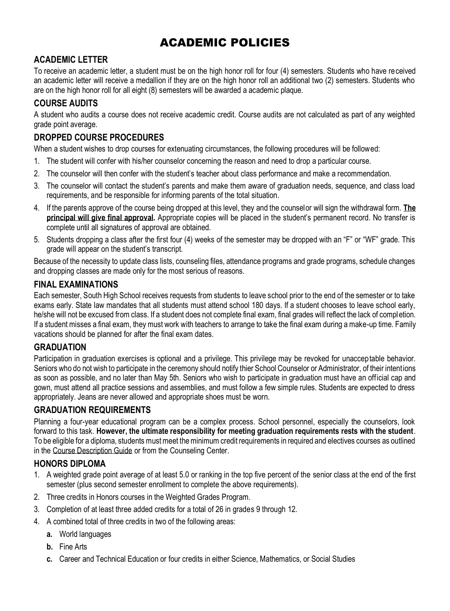# ACADEMIC POLICIES

# **ACADEMIC LETTER**

To receive an academic letter, a student must be on the high honor roll for four (4) semesters. Students who have received an academic letter will receive a medallion if they are on the high honor roll an additional two (2) semesters. Students who are on the high honor roll for all eight (8) semesters will be awarded a academic plaque.

# **COURSE AUDITS**

A student who audits a course does not receive academic credit. Course audits are not calculated as part of any weighted grade point average.

## **DROPPED COURSE PROCEDURES**

When a student wishes to drop courses for extenuating circumstances, the following procedures will be followed:

- 1. The student will confer with his/her counselor concerning the reason and need to drop a particular course.
- 2. The counselor will then confer with the student's teacher about class performance and make a recommendation.
- 3. The counselor will contact the student's parents and make them aware of graduation needs, sequence, and class load requirements, and be responsible for informing parents of the total situation.
- 4. If the parents approve of the course being dropped at this level, they and the counselor will sign the withdrawal form. **The principal will give final approval.** Appropriate copies will be placed in the student's permanent record. No transfer is complete until all signatures of approval are obtained.
- 5. Students dropping a class after the first four (4) weeks of the semester may be dropped with an "F" or "WF" grade. This grade will appear on the student's transcript.

Because of the necessity to update class lists, counseling files, attendance programs and grade programs, schedule changes and dropping classes are made only for the most serious of reasons.

## **FINAL EXAMINATIONS**

Each semester, South High School receives requests from students to leave school prior to the end of the semester or to take exams early. State law mandates that all students must attend school 180 days. If a student chooses to leave school early, he/she will not be excused from class. If a student does not complete final exam, final grades will reflect the lack of completion. If a student misses a final exam, they must work with teachers to arrange to take the final exam during a make-up time. Family vacations should be planned for after the final exam dates.

### **GRADUATION**

Participation in graduation exercises is optional and a privilege. This privilege may be revoked for unacceptable behavior. Seniors who do not wish to participate in the ceremony should notify thier School Counselor or Administrator, of their intentions as soon as possible, and no later than May 5th. Seniors who wish to participate in graduation must have an official cap and gown, must attend all practice sessions and assemblies, and must follow a few simple rules. Students are expected to dress appropriately. Jeans are never allowed and appropriate shoes must be worn.

# **GRADUATION REQUIREMENTS**

Planning a four-year educational program can be a complex process. School personnel, especially the counselors, look forward to this task. **However, the ultimate responsibility for meeting graduation requirements rests with the student**. To be eligible for a diploma, students must meet the minimum credit requirements in required and electives courses as outlined in the Course Description Guide or from the Counseling Center.

### **HONORS DIPLOMA**

- 1. A weighted grade point average of at least 5.0 or ranking in the top five percent of the senior class at the end of the first semester (plus second semester enrollment to complete the above requirements).
- 2. Three credits in Honors courses in the Weighted Grades Program.
- 3. Completion of at least three added credits for a total of 26 in grades 9 through 12.
- 4. A combined total of three credits in two of the following areas:
	- **a.** World languages
	- **b.** Fine Arts
	- **c.** Career and Technical Education or four credits in either Science, Mathematics, or Social Studies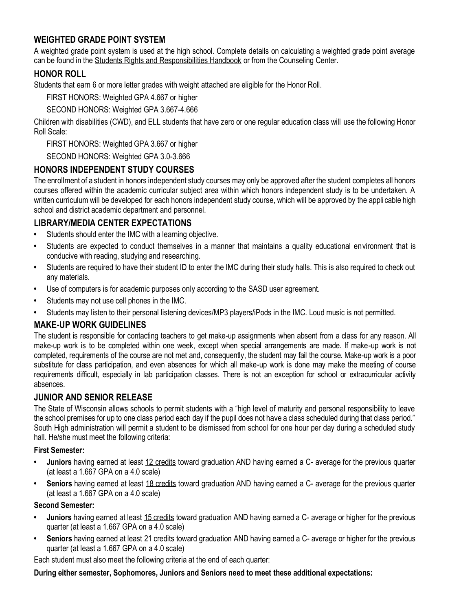# **WEIGHTED GRADE POINT SYSTEM**

A weighted grade point system is used at the high school. Complete details on calculating a weighted grade point average can be found in the Students Rights and Responsibilities Handbook or from the Counseling Center.

### **HONOR ROLL**

Students that earn 6 or more letter grades with weight attached are eligible for the Honor Roll.

FIRST HONORS: Weighted GPA 4.667 or higher

SECOND HONORS: Weighted GPA 3.667-4.666

Children with disabilities (CWD), and ELL students that have zero or one regular education class will use the following Honor Roll Scale:

FIRST HONORS: Weighted GPA 3.667 or higher

SECOND HONORS: Weighted GPA 3.0-3.666

## **HONORS INDEPENDENT STUDY COURSES**

The enrollment of a student in honors independent study courses may only be approved after the student completes all honors courses offered within the academic curricular subject area within which honors independent study is to be undertaken. A written curriculum will be developed for each honors independent study course, which will be approved by the appli cable high school and district academic department and personnel.

# **LIBRARY/MEDIA CENTER EXPECTATIONS**

- **•** Students should enter the IMC with a learning objective.
- **•** Students are expected to conduct themselves in a manner that maintains a quality educational environment that is conducive with reading, studying and researching.
- **•** Students are required to have their student ID to enter the IMC during their study halls. This is also required to check out any materials.
- **•** Use of computers is for academic purposes only according to the SASD user agreement.
- **•** Students may not use cell phones in the IMC.
- **•** Students may listen to their personal listening devices/MP3 players/iPods in the IMC. Loud music is not permitted.

# **MAKE-UP WORK GUIDELINES**

The student is responsible for contacting teachers to get make-up assignments when absent from a class for any reason. All make-up work is to be completed within one week, except when special arrangements are made. If make-up work is not completed, requirements of the course are not met and, consequently, the student may fail the course. Make-up work is a poor substitute for class participation, and even absences for which all make-up work is done may make the meeting of course requirements difficult, especially in lab participation classes. There is not an exception for school or extracurricular activity absences.

### **JUNIOR AND SENIOR RELEASE**

The State of Wisconsin allows schools to permit students with a "high level of maturity and personal responsibility to leave the school premises for up to one class period each day if the pupil does not have a class scheduled during that class period." South High administration will permit a student to be dismissed from school for one hour per day during a scheduled study hall. He/she must meet the following criteria:

#### **First Semester:**

- **• Juniors** having earned at least 12 credits toward graduation AND having earned a C- average for the previous quarter (at least a 1.667 GPA on a 4.0 scale)
- **• Seniors** having earned at least 18 credits toward graduation AND having earned a C- average for the previous quarter (at least a 1.667 GPA on a 4.0 scale)

#### **Second Semester:**

- **• Juniors** having earned at least 15 credits toward graduation AND having earned a C- average or higher for the previous quarter (at least a 1.667 GPA on a 4.0 scale)
- **• Seniors** having earned at least 21 credits toward graduation AND having earned a C- average or higher for the previous quarter (at least a 1.667 GPA on a 4.0 scale)

Each student must also meet the following criteria at the end of each quarter:

**During either semester, Sophomores, Juniors and Seniors need to meet these additional expectations:**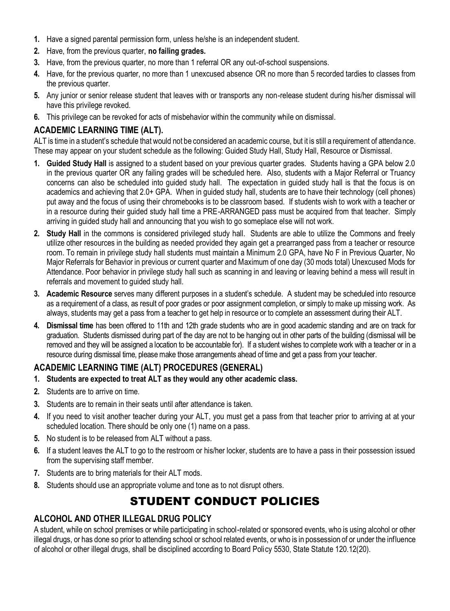- **1.** Have a signed parental permission form, unless he/she is an independent student.
- **2.** Have, from the previous quarter, **no failing grades.**
- **3.** Have, from the previous quarter, no more than 1 referral OR any out-of-school suspensions.
- **4.** Have, for the previous quarter, no more than 1 unexcused absence OR no more than 5 recorded tardies to classes from the previous quarter.
- **5.** Any junior or senior release student that leaves with or transports any non-release student during his/her dismissal will have this privilege revoked.
- **6.** This privilege can be revoked for acts of misbehavior within the community while on dismissal.

# **ACADEMIC LEARNING TIME (ALT).**

ALT is time in a student's schedule that would not be considered an academic course, but it is still a requirement of attendance. These may appear on your student schedule as the following: Guided Study Hall, Study Hall, Resource or Dismissal.

- **1. Guided Study Hall** is assigned to a student based on your previous quarter grades. Students having a GPA below 2.0 in the previous quarter OR any failing grades will be scheduled here. Also, students with a Major Referral or Truancy concerns can also be scheduled into guided study hall. The expectation in guided study hall is that the focus is on academics and achieving that 2.0+ GPA. When in guided study hall, students are to have their technology (cell phones) put away and the focus of using their chromebooks is to be classroom based. If students wish to work with a teacher or in a resource during their guided study hall time a PRE-ARRANGED pass must be acquired from that teacher. Simply arriving in guided study hall and announcing that you wish to go someplace else will not work.
- **2. Study Hall** in the commons is considered privileged study hall. Students are able to utilize the Commons and freely utilize other resources in the building as needed provided they again get a prearranged pass from a teacher or resource room. To remain in privilege study hall students must maintain a Minimum 2.0 GPA, have No F in Previous Quarter, No Major Referrals for Behavior in previous or current quarter and Maximum of one day (30 mods total) Unexcused Mods for Attendance. Poor behavior in privilege study hall such as scanning in and leaving or leaving behind a mess will result in referrals and movement to guided study hall.
- **3. Academic Resource** serves many different purposes in a student's schedule. A student may be scheduled into resource as a requirement of a class, as result of poor grades or poor assignment completion, or simply to make up missing work. As always, students may get a pass from a teacher to get help in resource or to complete an assessment during their ALT.
- **4. Dismissal time** has been offered to 11th and 12th grade students who are in good academic standing and are on track for graduation. Students dismissed during part of the day are not to be hanging out in other parts of the building (dismissal will be removed and they will be assigned a location to be accountable for). If a student wishes to complete work with a teacher or in a resource during dismissal time, please make those arrangements ahead of time and get a pass from your teacher.

# **ACADEMIC LEARNING TIME (ALT) PROCEDURES (GENERAL)**

- **1. Students are expected to treat ALT as they would any other academic class.**
- **2.** Students are to arrive on time.
- **3.** Students are to remain in their seats until after attendance is taken.
- **4.** If you need to visit another teacher during your ALT, you must get a pass from that teacher prior to arriving at at your scheduled location. There should be only one (1) name on a pass.
- **5.** No student is to be released from ALT without a pass.
- **6.** If a student leaves the ALT to go to the restroom or his/her locker, students are to have a pass in their possession issued from the supervising staff member.
- **7.** Students are to bring materials for their ALT mods.
- **8.** Students should use an appropriate volume and tone as to not disrupt others.

# STUDENT CONDUCT POLICIES

# **ALCOHOL AND OTHER ILLEGAL DRUG POLICY**

A student, while on school premises or while participating in school-related or sponsored events, who is using alcohol or other illegal drugs, or has done so prior to attending school or school related events, or who is in possession of or under the influence of alcohol or other illegal drugs, shall be disciplined according to Board Policy 5530, State Statute 120.12(20).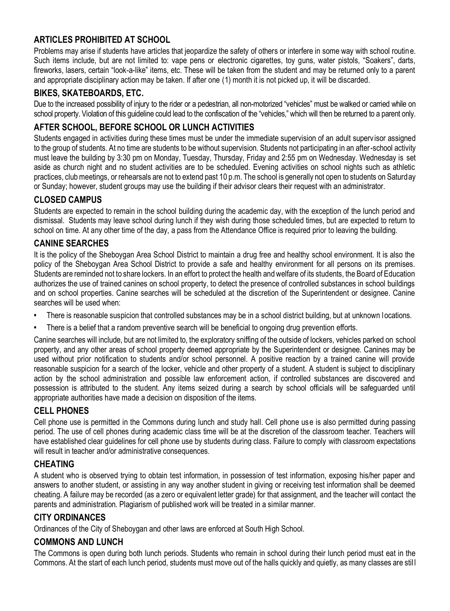# **ARTICLES PROHIBITED AT SCHOOL**

Problems may arise if students have articles that jeopardize the safety of others or interfere in some way with school routine. Such items include, but are not limited to: vape pens or electronic cigarettes, toy guns, water pistols, "Soakers", darts, fireworks, lasers, certain "look-a-like" items, etc. These will be taken from the student and may be returned only to a parent and appropriate disciplinary action may be taken. If after one (1) month it is not picked up, it will be discarded.

# **BIKES, SKATEBOARDS, ETC.**

Due to the increased possibility of injury to the rider or a pedestrian, all non-motorized "vehicles" must be walked or carried while on school property. Violation of this guideline could lead to the confiscation of the "vehicles," which will then be returned to a parent only.

# **AFTER SCHOOL, BEFORE SCHOOL OR LUNCH ACTIVITIES**

Students engaged in activities during these times must be under the immediate supervision of an adult superv isor assigned to the group of students. At no time are students to be without supervision. Students not participating in an after-school activity must leave the building by 3:30 pm on Monday, Tuesday, Thursday, Friday and 2:55 pm on Wednesday. Wednesday is set aside as church night and no student activities are to be scheduled. Evening activities on school nights such as athletic practices, club meetings, or rehearsals are not to extend past 10 p.m. The school is generally not open to students on Saturday or Sunday; however, student groups may use the building if their advisor clears their request with an administrator.

# **CLOSED CAMPUS**

Students are expected to remain in the school building during the academic day, with the exception of the lunch period and dismissal. Students may leave school during lunch if they wish during those scheduled times, but are expected to return to school on time. At any other time of the day, a pass from the Attendance Office is required prior to leaving the building.

# **CANINE SEARCHES**

It is the policy of the Sheboygan Area School District to maintain a drug free and healthy school environment. It is also the policy of the Sheboygan Area School District to provide a safe and healthy environment for all persons on its premises. Students are reminded not to share lockers. In an effort to protect the health and welfare of its students, the Board of Education authorizes the use of trained canines on school property, to detect the presence of controlled substances in school buildings and on school properties. Canine searches will be scheduled at the discretion of the Superintendent or designee. Canine searches will be used when:

- **•** There is reasonable suspicion that controlled substances may be in a school district building, but at unknown locations.
- **•** There is a belief that a random preventive search will be beneficial to ongoing drug prevention efforts.

Canine searches will include, but are not limited to, the exploratory sniffing of the outside of lockers, vehicles parked on school property, and any other areas of school property deemed appropriate by the Superintendent or designee. Canines may be used without prior notification to students and/or school personnel. A positive reaction by a trained canine will provide reasonable suspicion for a search of the locker, vehicle and other property of a student. A student is subject to disciplinary action by the school administration and possible law enforcement action, if controlled substances are discovered and possession is attributed to the student. Any items seized during a search by school officials will be safeguarded until appropriate authorities have made a decision on disposition of the items.

# **CELL PHONES**

Cell phone use is permitted in the Commons during lunch and study hall. Cell phone us e is also permitted during passing period. The use of cell phones during academic class time will be at the discretion of the classroom teacher. Teachers will have established clear guidelines for cell phone use by students during class. Failure to comply with classroom expectations will result in teacher and/or administrative consequences.

# **CHEATING**

A student who is observed trying to obtain test information, in possession of test information, exposing his/her paper and answers to another student, or assisting in any way another student in giving or receiving test information shall be deemed cheating. A failure may be recorded (as a zero or equivalent letter grade) for that assignment, and the teacher will contact the parents and administration. Plagiarism of published work will be treated in a similar manner.

### **CITY ORDINANCES**

Ordinances of the City of Sheboygan and other laws are enforced at South High School.

# **COMMONS AND LUNCH**

The Commons is open during both lunch periods. Students who remain in school during their lunch period must eat in the Commons. At the start of each lunch period, students must move out of the halls quickly and quietly, as many classes are stil l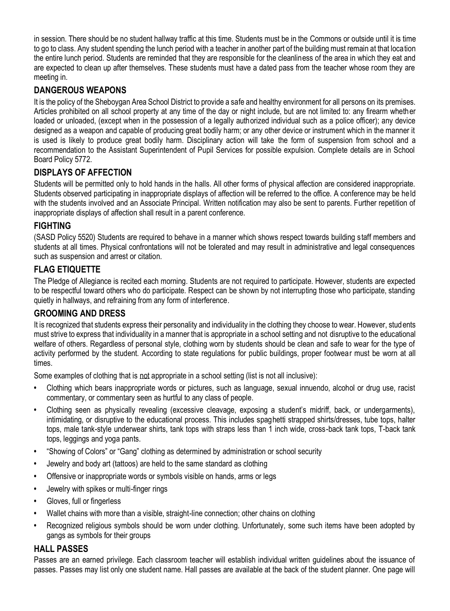in session. There should be no student hallway traffic at this time. Students must be in the Commons or outside until it is time to go to class. Any student spending the lunch period with a teacher in another part of the building must remain at that location the entire lunch period. Students are reminded that they are responsible for the cleanliness of the area in which they eat and are expected to clean up after themselves. These students must have a dated pass from the teacher whose room they are meeting in.

# **DANGEROUS WEAPONS**

It is the policy of the Sheboygan Area School District to provide a safe and healthy environment for all persons on its premises. Articles prohibited on all school property at any time of the day or night include, but are not limited to: any firearm whether loaded or unloaded, (except when in the possession of a legally authorized individual such as a police officer); any device designed as a weapon and capable of producing great bodily harm; or any other device or instrument which in the manner it is used is likely to produce great bodily harm. Disciplinary action will take the form of suspension from school and a recommendation to the Assistant Superintendent of Pupil Services for possible expulsion. Complete details are in School Board Policy 5772.

# **DISPLAYS OF AFFECTION**

Students will be permitted only to hold hands in the halls. All other forms of physical affection are considered inappropriate. Students observed participating in inappropriate displays of affection will be referred to the office. A conference may be held with the students involved and an Associate Principal. Written notification may also be sent to parents. Further repetition of inappropriate displays of affection shall result in a parent conference.

# **FIGHTING**

(SASD Policy 5520) Students are required to behave in a manner which shows respect towards building staff members and students at all times. Physical confrontations will not be tolerated and may result in administrative and legal consequences such as suspension and arrest or citation.

# **FLAG ETIQUETTE**

The Pledge of Allegiance is recited each morning. Students are not required to participate. However, students are expected to be respectful toward others who do participate. Respect can be shown by not interrupting those who participate, standing quietly in hallways, and refraining from any form of interference.

### **GROOMING AND DRESS**

It is recognized that students express their personality and individuality in the clothing they choose to wear. However, stud ents must strive to express that individuality in a manner that is appropriate in a school setting and not disruptive to the educational welfare of others. Regardless of personal style, clothing worn by students should be clean and safe to wear for the type of activity performed by the student. According to state regulations for public buildings, proper footwear must be worn at all times.

Some examples of clothing that is not appropriate in a school setting (list is not all inclusive):

- **•** Clothing which bears inappropriate words or pictures, such as language, sexual innuendo, alcohol or drug use, racist commentary, or commentary seen as hurtful to any class of people.
- **•** Clothing seen as physically revealing (excessive cleavage, exposing a student's midriff, back, or undergarments), intimidating, or disruptive to the educational process. This includes spaghetti strapped shirts/dresses, tube tops, halter tops, male tank-style underwear shirts, tank tops with straps less than 1 inch wide, cross-back tank tops, T-back tank tops, leggings and yoga pants.
- **•** "Showing of Colors" or "Gang" clothing as determined by administration or school security
- **•** Jewelry and body art (tattoos) are held to the same standard as clothing
- **•** Offensive or inappropriate words or symbols visible on hands, arms or legs
- **•** Jewelry with spikes or multi-finger rings
- **•** Gloves, full or fingerless
- **•** Wallet chains with more than a visible, straight-line connection; other chains on clothing
- **•** Recognized religious symbols should be worn under clothing. Unfortunately, some such items have been adopted by gangs as symbols for their groups

### **HALL PASSES**

Passes are an earned privilege. Each classroom teacher will establish individual written guidelines about the issuance of passes. Passes may list only one student name. Hall passes are available at the back of the student planner. One page will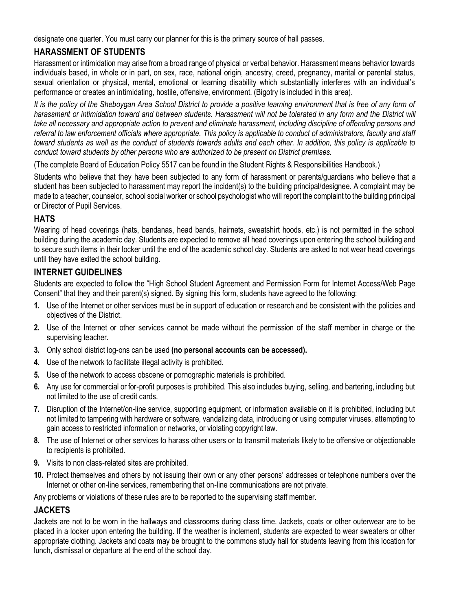designate one quarter. You must carry our planner for this is the primary source of hall passes.

# **HARASSMENT OF STUDENTS**

Harassment or intimidation may arise from a broad range of physical or verbal behavior. Harassment means behavior towards individuals based, in whole or in part, on sex, race, national origin, ancestry, creed, pregnancy, marital or parental status, sexual orientation or physical, mental, emotional or learning disability which substantially interferes with an individual's performance or creates an intimidating, hostile, offensive, environment. (Bigotry is included in this area).

*It is the policy of the Sheboygan Area School District to provide a positive learning environment that is free of any form of* harassment or intimidation toward and between students. Harassment will not be tolerated in any form and the District will *take all necessary and appropriate action to prevent and eliminate harassment, including discipline of offending persons and*  referral to law enforcement officials where appropriate. This policy is applicable to conduct of administrators, faculty and staff *toward students as well as the conduct of students towards adults and each other. In addition, this policy is applicable to conduct toward students by other persons who are authorized to be present on District premises.*

(The complete Board of Education Policy 5517 can be found in the Student Rights & Responsibilities Handbook.)

Students who believe that they have been subjected to any form of harassment or parents/guardians who believe that a student has been subjected to harassment may report the incident(s) to the building principal/designee. A complaint may be made to a teacher, counselor, school social worker or school psychologist who will report the complaint to the building principal or Director of Pupil Services.

## **HATS**

Wearing of head coverings (hats, bandanas, head bands, hairnets, sweatshirt hoods, etc.) is not permitted in the school building during the academic day. Students are expected to remove all head coverings upon entering the school building and to secure such items in their locker until the end of the academic school day. Students are asked to not wear head coverings until they have exited the school building.

## **INTERNET GUIDELINES**

Students are expected to follow the "High School Student Agreement and Permission Form for Internet Access/Web Page Consent" that they and their parent(s) signed. By signing this form, students have agreed to the following:

- **1.** Use of the Internet or other services must be in support of education or research and be consistent with the policies and objectives of the District.
- **2.** Use of the Internet or other services cannot be made without the permission of the staff member in charge or the supervising teacher.
- **3.** Only school district log-ons can be used **(no personal accounts can be accessed).**
- **4.** Use of the network to facilitate illegal activity is prohibited.
- **5.** Use of the network to access obscene or pornographic materials is prohibited.
- **6.** Any use for commercial or for-profit purposes is prohibited. This also includes buying, selling, and bartering, including but not limited to the use of credit cards.
- **7.** Disruption of the Internet/on-line service, supporting equipment, or information available on it is prohibited, including but not limited to tampering with hardware or software, vandalizing data, introducing or using computer viruses, attempting to gain access to restricted information or networks, or violating copyright law.
- **8.** The use of Internet or other services to harass other users or to transmit materials likely to be offensive or objectionable to recipients is prohibited.
- **9.** Visits to non class-related sites are prohibited.
- **10.** Protect themselves and others by not issuing their own or any other persons' addresses or telephone numbers over the Internet or other on-line services, remembering that on-line communications are not private.

Any problems or violations of these rules are to be reported to the supervising staff member.

# **JACKETS**

Jackets are not to be worn in the hallways and classrooms during class time. Jackets, coats or other outerwear are to be placed in a locker upon entering the building. If the weather is inclement, students are expected to wear sweaters or other appropriate clothing. Jackets and coats may be brought to the commons study hall for students leaving from this location for lunch, dismissal or departure at the end of the school day.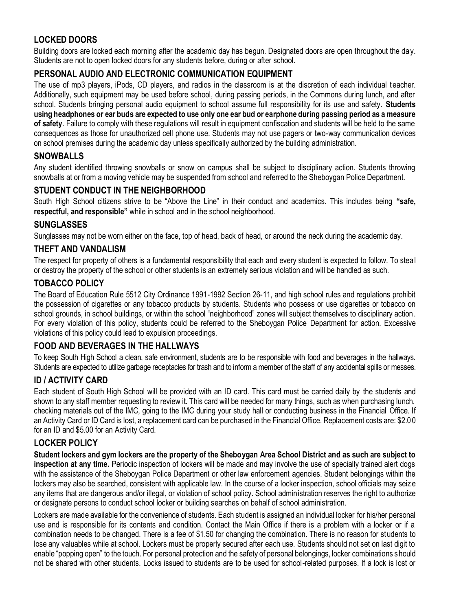# **LOCKED DOORS**

Building doors are locked each morning after the academic day has begun. Designated doors are open throughout the day. Students are not to open locked doors for any students before, during or after school.

# **PERSONAL AUDIO AND ELECTRONIC COMMUNICATION EQUIPMENT**

The use of mp3 players, iPods, CD players, and radios in the classroom is at the discretion of each individual teacher. Additionally, such equipment may be used before school, during passing periods, in the Commons during lunch, and after school. Students bringing personal audio equipment to school assume full responsibility for its use and safety. **Students using headphones or ear buds are expected to use only one ear bud or earphone during passing period as a measure of safety**. Failure to comply with these regulations will result in equipment confiscation and students will be held to the same consequences as those for unauthorized cell phone use. Students may not use pagers or two-way communication devices on school premises during the academic day unless specifically authorized by the building administration.

## **SNOWBALLS**

Any student identified throwing snowballs or snow on campus shall be subject to disciplinary action. Students throwing snowballs at or from a moving vehicle may be suspended from school and referred to the Sheboygan Police Department.

## **STUDENT CONDUCT IN THE NEIGHBORHOOD**

South High School citizens strive to be "Above the Line" in their conduct and academics. This includes being **"safe, respectful, and responsible"** while in school and in the school neighborhood.

#### **SUNGLASSES**

Sunglasses may not be worn either on the face, top of head, back of head, or around the neck during the academic day.

#### **THEFT AND VANDALISM**

The respect for property of others is a fundamental responsibility that each and every student is expected to follow. To steal or destroy the property of the school or other students is an extremely serious violation and will be handled as such.

### **TOBACCO POLICY**

The Board of Education Rule 5512 City Ordinance 1991-1992 Section 26-11, and high school rules and regulations prohibit the possession of cigarettes or any tobacco products by students. Students who possess or use cigarettes or tobacco on school grounds, in school buildings, or within the school "neighborhood" zones will subject themselves to disciplinary action. For every violation of this policy, students could be referred to the Sheboygan Police Department for action. Excessive violations of this policy could lead to expulsion proceedings.

### **FOOD AND BEVERAGES IN THE HALLWAYS**

To keep South High School a clean, safe environment, students are to be responsible with food and beverages in the hallways. Students are expected to utilize garbage receptacles for trash and to inform a member of the staff of any accidental spills or messes.

#### **ID / ACTIVITY CARD**

Each student of South High School will be provided with an ID card. This card must be carried daily by the students and shown to any staff member requesting to review it. This card will be needed for many things, such as when purchasing lunch, checking materials out of the IMC, going to the IMC during your study hall or conducting business in the Financial Office. If an Activity Card or ID Card is lost, a replacement card can be purchased in the Financial Office. Replacement costs are: \$2.00 for an ID and \$5.00 for an Activity Card.

#### **LOCKER POLICY**

**Student lockers and gym lockers are the property of the Sheboygan Area School District and as such are subject to inspection at any time.** Periodic inspection of lockers will be made and may involve the use of specially trained alert dogs with the assistance of the Sheboygan Police Department or other law enforcement agencies. Student belongings within the lockers may also be searched, consistent with applicable law. In the course of a locker inspection, school officials may seize any items that are dangerous and/or illegal, or violation of school policy. School administration reserves the right to authorize or designate persons to conduct school locker or building searches on behalf of school administration.

Lockers are made available for the convenience of students. Each student is assigned an individual locker for his/her personal use and is responsible for its contents and condition. Contact the Main Office if there is a problem with a locker or if a combination needs to be changed. There is a fee of \$1.50 for changing the combination. There is no reason for students to lose any valuables while at school. Lockers must be properly secured after each use. Students should not set on last digit to enable "popping open" to the touch. For personal protection and the safety of personal belongings, locker combinations should not be shared with other students. Locks issued to students are to be used for school-related purposes. If a lock is lost or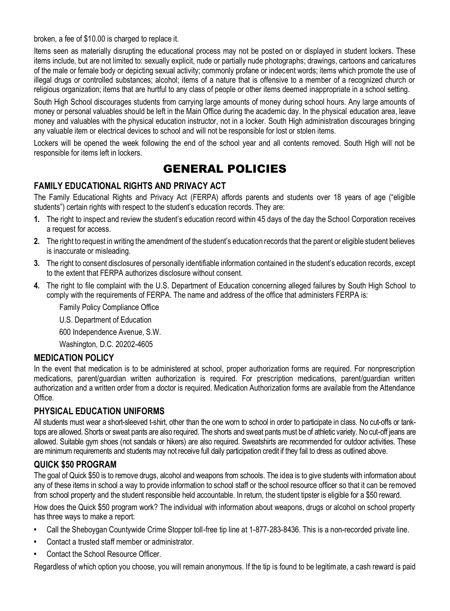broken, a fee of \$10.00 is charged to replace it.

Items seen as materially disrupting the educational process may not be posted on or displayed in student lockers. These items include, but are not limited to: sexually explicit, nude or partially nude photographs; drawings, cartoons and caricatures of the male or female body or depicting sexual activity; commonly profane or indecent words; items which promote the use of illegal drugs or controlled substances; alcohol; items of a nature that is offensive to a member of a recognized church or religious organization; items that are hurtful to any class of people or other items deemed inappropriate in a school setting.

South High School discourages students from carrying large amounts of money during school hours. Any large amounts of money or personal valuables should be left in the Main Office during the academic day. In the physical education area, leave money and valuables with the physical education instructor, not in a locker. South High administration discourages bringing any valuable item or electrical devices to school and will not be responsible for lost or stolen items.

Lockers will be opened the week following the end of the school year and all contents removed. South High will not be responsible for items left in lockers.

# GENERAL POLICIES

## **FAMILY EDUCATIONAL RIGHTS AND PRIVACY ACT**

The Family Educational Rights and Privacy Act (FERPA) affords parents and students over 18 years of age ("eligible students") certain rights with respect to the student's education records. They are:

- **1.** The right to inspect and review the student's education record within 45 days of the day the School Corporation receives a request for access.
- **2.** The right to request in writing the amendment of the student's education records that the parent or eligible student believes is inaccurate or misleading.
- **3.** The right to consent disclosures of personally identifiable information contained in the student's education records, except to the extent that FERPA authorizes disclosure without consent.
- **4.** The right to file complaint with the U.S. Department of Education concerning alleged failures by South High School to comply with the requirements of FERPA. The name and address of the office that administers FERPA is:

Family Policy Compliance Office

U.S. Department of Education

600 Independence Avenue, S.W.

Washington, D.C. 20202-4605

### **MEDICATION POLICY**

In the event that medication is to be administered at school, proper authorization forms are required. For nonprescription medications, parent/guardian written authorization is required. For prescription medications, parent/guardian written authorization and a written order from a doctor is required. Medication Authorization forms are available from the Attendance Office.

### **PHYSICAL EDUCATION UNIFORMS**

All students must wear a short-sleeved t-shirt, other than the one worn to school in order to participate in class. No cut-offs or tanktops are allowed. Shorts or sweat pants are also required. The shorts and sweat pants must be of athletic variety. No cut-off jeans are allowed. Suitable gym shoes (not sandals or hikers) are also required. Sweatshirts are recommended for outdoor activities. These are minimum requirements and students may not receive full daily participation credit if they fail to dress as outlined above.

### **QUICK \$50 PROGRAM**

The goal of Quick \$50 is to remove drugs, alcohol and weapons from schools. The idea is to give students with information about any of these items in school a way to provide information to school staff or the school resource officer so that it can be removed from school property and the student responsible held accountable. In return, the student tipster is eligible for a \$50 reward.

How does the Quick \$50 program work? The individual with information about weapons, drugs or alcohol on school property has three ways to make a report:

- **•** Call the Sheboygan Countywide Crime Stopper toll-free tip line at 1-877-283-8436. This is a non-recorded private line.
- **•** Contact a trusted staff member or administrator.
- **•** Contact the School Resource Officer.

Regardless of which option you choose, you will remain anonymous. If the tip is found to be legitimate, a cash reward is paid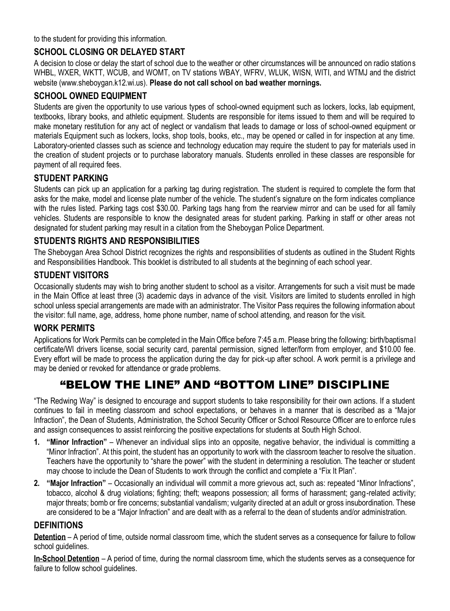to the student for providing this information.

# **SCHOOL CLOSING OR DELAYED START**

A decision to close or delay the start of school due to the weather or other circumstances will be announced on radio stations WHBL, WXER, WKTT, WCUB, and WOMT, on TV stations WBAY, WFRV, WLUK, WISN, WITI, and WTMJ and the district website (www.sheboygan.k12.wi.us). **Please do not call school on bad weather mornings.**

# **SCHOOL OWNED EQUIPMENT**

Students are given the opportunity to use various types of school-owned equipment such as lockers, locks, lab equipment, textbooks, library books, and athletic equipment. Students are responsible for items issued to them and will be required to make monetary restitution for any act of neglect or vandalism that leads to damage or loss of school-owned equipment or materials Equipment such as lockers, locks, shop tools, books, etc., may be opened or called in for inspection at any time. Laboratory-oriented classes such as science and technology education may require the student to pay for materials used in the creation of student projects or to purchase laboratory manuals. Students enrolled in these classes are responsible for payment of all required fees.

# **STUDENT PARKING**

Students can pick up an application for a parking tag during registration. The student is required to complete the form that asks for the make, model and license plate number of the vehicle. The student's signature on the form indicates compliance with the rules listed. Parking tags cost \$30.00. Parking tags hang from the rearview mirror and can be used for all family vehicles. Students are responsible to know the designated areas for student parking. Parking in staff or other areas not designated for student parking may result in a citation from the Sheboygan Police Department.

## **STUDENTS RIGHTS AND RESPONSIBILITIES**

The Sheboygan Area School District recognizes the rights and responsibilities of students as outlined in the Student Rights and Responsibilities Handbook. This booklet is distributed to all students at the beginning of each school year.

### **STUDENT VISITORS**

Occasionally students may wish to bring another student to school as a visitor. Arrangements for such a visit must be made in the Main Office at least three (3) academic days in advance of the visit. Visitors are limited to students enrolled in high school unless special arrangements are made with an administrator. The Visitor Pass requires the following information about the visitor: full name, age, address, home phone number, name of school attending, and reason for the visit.

#### **WORK PERMITS**

Applications for Work Permits can be completed in the Main Office before 7:45 a.m. Please bring the following: birth/baptismal certificate/WI drivers license, social security card, parental permission, signed letter/form from employer, and \$10.00 fee. Every effort will be made to process the application during the day for pick-up after school. A work permit is a privilege and may be denied or revoked for attendance or grade problems.

# "BELOW THE LINE" AND "BOTTOM LINE" DISCIPLINE

"The Redwing Way" is designed to encourage and support students to take responsibility for their own actions. If a student continues to fail in meeting classroom and school expectations, or behaves in a manner that is described as a "Major Infraction", the Dean of Students, Administration, the School Security Officer or School Resource Officer are to enforce rules and assign consequences to assist reinforcing the positive expectations for students at South High School.

- **1. "Minor Infraction"**  Whenever an individual slips into an opposite, negative behavior, the individual is committing a "Minor Infraction". At this point, the student has an opportunity to work with the classroom teacher to resolve the situation. Teachers have the opportunity to "share the power" with the student in determining a resolution. The teacher or student may choose to include the Dean of Students to work through the conflict and complete a "Fix It Plan".
- **2. "Major Infraction"** Occasionally an individual will commit a more grievous act, such as: repeated "Minor Infractions", tobacco, alcohol & drug violations; fighting; theft; weapons possession; all forms of harassment; gang-related activity; major threats; bomb or fire concerns; substantial vandalism; vulgarity directed at an adult or gross insubordination. These are considered to be a "Major Infraction" and are dealt with as a referral to the dean of students and/or administration.

### **DEFINITIONS**

**Detention** – A period of time, outside normal classroom time, which the student serves as a consequence for failure to follow school guidelines.

**In-School Detention** – A period of time, during the normal classroom time, which the students serves as a consequence for failure to follow school guidelines.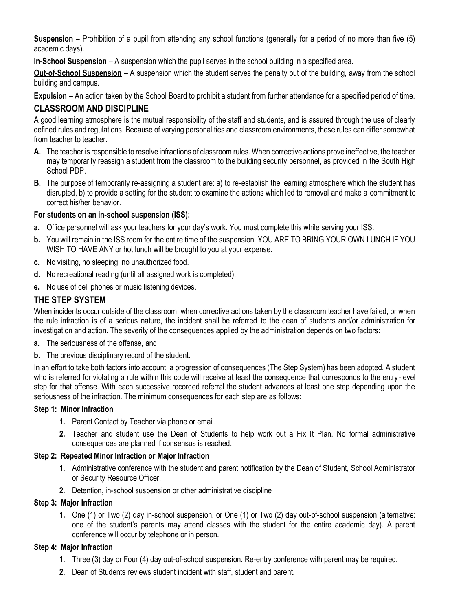**Suspension** – Prohibition of a pupil from attending any school functions (generally for a period of no more than five (5) academic days).

**In-School Suspension** – A suspension which the pupil serves in the school building in a specified area.

**Out-of-School Suspension** – A suspension which the student serves the penalty out of the building, away from the school building and campus.

**Expulsion** – An action taken by the School Board to prohibit a student from further attendance for a specified period of time.

### **CLASSROOM AND DISCIPLINE**

A good learning atmosphere is the mutual responsibility of the staff and students, and is assured through the use of clearly defined rules and regulations. Because of varying personalities and classroom environments, these rules can differ somewhat from teacher to teacher.

- **A.** The teacher is responsible to resolve infractions of classroom rules. When corrective actions prove ineffective, the teacher may temporarily reassign a student from the classroom to the building security personnel, as provided in the South High School PDP.
- **B.** The purpose of temporarily re-assigning a student are: a) to re-establish the learning atmosphere which the student has disrupted, b) to provide a setting for the student to examine the actions which led to removal and make a commitment to correct his/her behavior.

#### **For students on an in-school suspension (ISS):**

- **a.** Office personnel will ask your teachers for your day's work. You must complete this while serving your ISS.
- **b.** You will remain in the ISS room for the entire time of the suspension. YOU ARE TO BRING YOUR OWN LUNCH IF YOU WISH TO HAVE ANY or hot lunch will be brought to you at your expense.
- **c.** No visiting, no sleeping; no unauthorized food.
- **d.** No recreational reading (until all assigned work is completed).
- **e.** No use of cell phones or music listening devices.

#### **THE STEP SYSTEM**

When incidents occur outside of the classroom, when corrective actions taken by the classroom teacher have failed, or when the rule infraction is of a serious nature, the incident shall be referred to the dean of students and/or administration for investigation and action. The severity of the consequences applied by the administration depends on two factors:

- **a.** The seriousness of the offense, and
- **b.** The previous disciplinary record of the student.

In an effort to take both factors into account, a progression of consequences (The Step System) has been adopted. A student who is referred for violating a rule within this code will receive at least the consequence that corresponds to the entry -level step for that offense. With each successive recorded referral the student advances at least one step depending upon the seriousness of the infraction. The minimum consequences for each step are as follows:

#### **Step 1: Minor Infraction**

- **1.** Parent Contact by Teacher via phone or email.
- **2.** Teacher and student use the Dean of Students to help work out a Fix It Plan. No formal administrative consequences are planned if consensus is reached.

#### **Step 2: Repeated Minor Infraction or Major Infraction**

- **1.** Administrative conference with the student and parent notification by the Dean of Student, School Administrator or Security Resource Officer.
- **2.** Detention, in-school suspension or other administrative discipline

#### **Step 3: Major Infraction**

**1.** One (1) or Two (2) day in-school suspension, or One (1) or Two (2) day out-of-school suspension (alternative: one of the student's parents may attend classes with the student for the entire academic day). A parent conference will occur by telephone or in person.

#### **Step 4: Major Infraction**

- **1.** Three (3) day or Four (4) day out-of-school suspension. Re-entry conference with parent may be required.
- **2.** Dean of Students reviews student incident with staff, student and parent.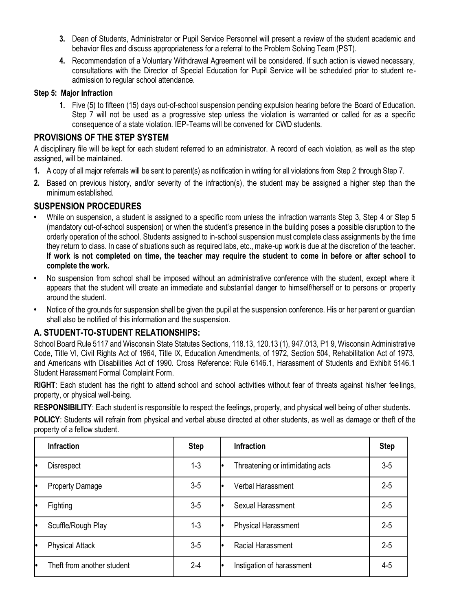- **3.** Dean of Students, Administrator or Pupil Service Personnel will present a review of the student academic and behavior files and discuss appropriateness for a referral to the Problem Solving Team (PST).
- **4.** Recommendation of a Voluntary Withdrawal Agreement will be considered. If such action is viewed necessary, consultations with the Director of Special Education for Pupil Service will be scheduled prior to student readmission to regular school attendance.

#### **Step 5: Major Infraction**

**1.** Five (5) to fifteen (15) days out-of-school suspension pending expulsion hearing before the Board of Education. Step 7 will not be used as a progressive step unless the violation is warranted or called for as a specific consequence of a state violation. IEP-Teams will be convened for CWD students.

#### **PROVISIONS OF THE STEP SYSTEM**

A disciplinary file will be kept for each student referred to an administrator. A record of each violation, as well as the step assigned, will be maintained.

- **1.** A copy of all major referrals will be sent to parent(s) as notification in writing for all violations from Step 2 through Step 7.
- **2.** Based on previous history, and/or severity of the infraction(s), the student may be assigned a higher step than the minimum established.

#### **SUSPENSION PROCEDURES**

- While on suspension, a student is assigned to a specific room unless the infraction warrants Step 3, Step 4 or Step 5 (mandatory out-of-school suspension) or when the student's presence in the building poses a possible disruption to the orderly operation of the school. Students assigned to in-school suspension must complete class assignments by the time they return to class. In case of situations such as required labs, etc., make-up work is due at the discretion of the teacher. **If work is not completed on time, the teacher may require the student to come in before or after school to complete the work.**
- **•** No suspension from school shall be imposed without an administrative conference with the student, except where it appears that the student will create an immediate and substantial danger to himself/herself or to persons or property around the student.
- **•** Notice of the grounds for suspension shall be given the pupil at the suspension conference. His or her parent or guardian shall also be notified of this information and the suspension.

### **A. STUDENT-TO-STUDENT RELATIONSHIPS:**

School Board Rule 5117 and Wisconsin State Statutes Sections, 118.13, 120.13 (1), 947.013, P1 9, Wisconsin Administrative Code, Title VI, Civil Rights Act of 1964, Title IX, Education Amendments, of 1972, Section 504, Rehabilitation Act of 1973, and Americans with Disabilities Act of 1990. Cross Reference: Rule 6146.1, Harassment of Students and Exhibit 5146.1 Student Harassment Formal Complaint Form.

**RIGHT**: Each student has the right to attend school and school activities without fear of threats against his/her feelings, property, or physical well-being.

**RESPONSIBILITY**: Each student is responsible to respect the feelings, property, and physical well being of other students.

**POLICY**: Students will refrain from physical and verbal abuse directed at other students, as well as damage or theft of the property of a fellow student.

| <b>Infraction</b>          | <b>Step</b> | <b>Infraction</b>                | <b>Step</b> |
|----------------------------|-------------|----------------------------------|-------------|
| <b>Disrespect</b>          | $1-3$       | Threatening or intimidating acts | $3-5$       |
| <b>Property Damage</b>     | $3-5$       | Verbal Harassment                | $2 - 5$     |
| Fighting                   | $3-5$       | Sexual Harassment                | $2 - 5$     |
| Scuffle/Rough Play         | $1 - 3$     | Physical Harassment              | $2 - 5$     |
| <b>Physical Attack</b>     | $3-5$       | Racial Harassment                | $2 - 5$     |
| Theft from another student | $2 - 4$     | Instigation of harassment        | 4-5         |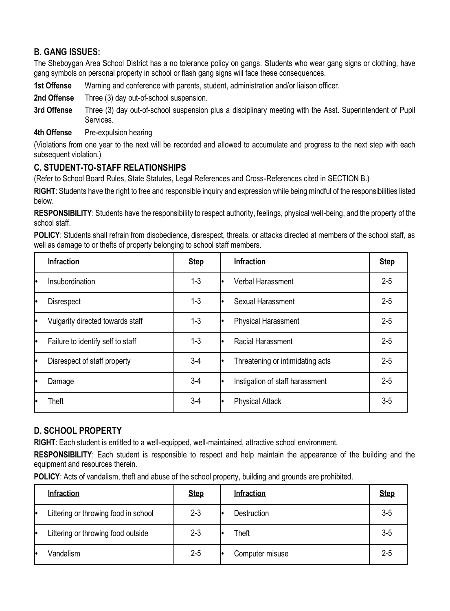# **B. GANG ISSUES:**

The Sheboygan Area School District has a no tolerance policy on gangs. Students who wear gang signs or clothing, have gang symbols on personal property in school or flash gang signs will face these consequences.

- **1st Offense** Warning and conference with parents, student, administration and/or liaison officer.
- **2nd Offense** Three (3) day out-of-school suspension.
- **3rd Offense** Three (3) day out-of-school suspension plus a disciplinary meeting with the Asst. Superintendent of Pupil Services.
- **4th Offense** Pre-expulsion hearing

(Violations from one year to the next will be recorded and allowed to accumulate and progress to the next step with each subsequent violation.)

# **C. STUDENT-TO-STAFF RELATIONSHIPS**

(Refer to School Board Rules, State Statutes, Legal References and Cross-References cited in SECTION B.)

**RIGHT**: Students have the right to free and responsible inquiry and expression while being mindful of the responsibilities listed below.

**RESPONSIBILITY**: Students have the responsibility to respect authority, feelings, physical well-being, and the property of the school staff.

**POLICY**: Students shall refrain from disobedience, disrespect, threats, or attacks directed at members of the school staff, as well as damage to or thefts of property belonging to school staff members.

| <b>Infraction</b>                 | <b>Step</b> | <b>Infraction</b>                      | <b>Step</b> |
|-----------------------------------|-------------|----------------------------------------|-------------|
| Insubordination                   | $1 - 3$     | Verbal Harassment<br>I۰                | $2 - 5$     |
| <b>Disrespect</b>                 | $1 - 3$     | Sexual Harassment<br>I۰                | $2 - 5$     |
| Vulgarity directed towards staff  | $1-3$       | <b>Physical Harassment</b><br>I۰       | $2 - 5$     |
| Failure to identify self to staff | $1-3$       | Racial Harassment<br>I۰                | $2 - 5$     |
| Disrespect of staff property      | $3-4$       | Threatening or intimidating acts<br>I۰ | $2 - 5$     |
| Damage                            | $3-4$       | Instigation of staff harassment<br>I۰  | $2 - 5$     |
| Theft                             | $3-4$       | <b>Physical Attack</b><br>lo           | $3-5$       |

### **D. SCHOOL PROPERTY**

**RIGHT**: Each student is entitled to a well-equipped, well-maintained, attractive school environment.

**RESPONSIBILITY**: Each student is responsible to respect and help maintain the appearance of the building and the equipment and resources therein.

**POLICY:** Acts of vandalism, theft and abuse of the school property, building and grounds are prohibited.

|    | <b>Infraction</b>                    | <b>Step</b> | <b>Infraction</b>  | <b>Step</b> |
|----|--------------------------------------|-------------|--------------------|-------------|
| ١o | Littering or throwing food in school | $2 - 3$     | <b>Destruction</b> | $3-5$       |
| I۰ | Littering or throwing food outside   | $2 - 3$     | Theft              | $3 - 5$     |
| ю  | Vandalism                            | $2 - 5$     | Computer misuse    | $2 - 5$     |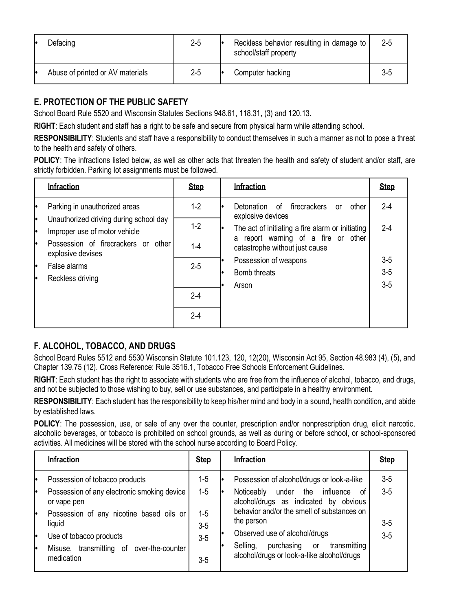| ю | Defacing                         | $2 - 5$ | Reckless behavior resulting in damage to<br>school/staff property | $2 - 5$ |
|---|----------------------------------|---------|-------------------------------------------------------------------|---------|
| ю | Abuse of printed or AV materials | $2 - 5$ | Computer hacking                                                  | 3-5     |

# **E. PROTECTION OF THE PUBLIC SAFETY**

School Board Rule 5520 and Wisconsin Statutes Sections 948.61, 118.31, (3) and 120.13.

**RIGHT**: Each student and staff has a right to be safe and secure from physical harm while attending school.

**RESPONSIBILITY**: Students and staff have a responsibility to conduct themselves in such a manner as not to pose a threat to the health and safety of others.

**POLICY**: The infractions listed below, as well as other acts that threaten the health and safety of student and/or staff, are strictly forbidden. Parking lot assignments must be followed.

|          | <b>Infraction</b>                                                       | <b>Step</b> | <b>Infraction</b>                                                                              | <b>Step</b>             |
|----------|-------------------------------------------------------------------------|-------------|------------------------------------------------------------------------------------------------|-------------------------|
|          | Parking in unauthorized areas                                           | $1-2$       | firecrackers<br>Detonation of<br>other<br>or<br>explosive devices                              | $2-4$                   |
| lo<br>١o | Unauthorized driving during school day<br>Improper use of motor vehicle | $1-2$       | The act of initiating a fire alarm or initiating<br>le.<br>a report warning of a fire or other | $2 - 4$                 |
| le       | Possession of firecrackers or other<br>explosive devises                | $1-4$       | catastrophe without just cause                                                                 |                         |
| ۱۰<br>le | False alarms<br>Reckless driving                                        | $2 - 5$     | Possession of weapons<br>Bomb threats<br>Arson                                                 | $3-5$<br>$3-5$<br>$3-5$ |
|          |                                                                         | $2-4$       |                                                                                                |                         |
|          |                                                                         | $2 - 4$     |                                                                                                |                         |

# **F. ALCOHOL, TOBACCO, AND DRUGS**

School Board Rules 5512 and 5530 Wisconsin Statute 101.123, 120, 12(20), Wisconsin Act 95, Section 48.983 (4), (5), and Chapter 139.75 (12). Cross Reference: Rule 3516.1, Tobacco Free Schools Enforcement Guidelines.

**RIGHT**: Each student has the right to associate with students who are free from the influence of alcohol, tobacco, and drugs, and not be subjected to those wishing to buy, sell or use substances, and participate in a healthy environment.

**RESPONSIBILITY**: Each student has the responsibility to keep his/her mind and body in a sound, health condition, and abide by established laws.

**POLICY**: The possession, use, or sale of any over the counter, prescription and/or nonprescription drug, elicit narcotic, alcoholic beverages, or tobacco is prohibited on school grounds, as well as during or before school, or school-sponsored activities. All medicines will be stored with the school nurse according to Board Policy.

| <b>Infraction</b>                                                                                                                                                                                                                       | <b>Step</b>                                    | <b>Infraction</b>                                                                                                                                                                                                                                                                                                            | <b>Step</b>                      |
|-----------------------------------------------------------------------------------------------------------------------------------------------------------------------------------------------------------------------------------------|------------------------------------------------|------------------------------------------------------------------------------------------------------------------------------------------------------------------------------------------------------------------------------------------------------------------------------------------------------------------------------|----------------------------------|
| Possession of tobacco products<br>Possession of any electronic smoking device<br>or vape pen<br>Possession of any nicotine based oils or<br>liquid<br>Use of tobacco products<br>Misuse, transmitting of over-the-counter<br>medication | 1-5<br>$1-5$<br>$1-5$<br>$3-5$<br>$3-5$<br>3-5 | Possession of alcohol/drugs or look-a-like<br>influence<br>under the<br>Noticeably<br>0f<br>alcohol/drugs as indicated by obvious<br>behavior and/or the smell of substances on<br>the person<br>Observed use of alcohol/drugs<br>purchasing<br>transmitting<br>Selling,<br>or<br>alcohol/drugs or look-a-like alcohol/drugs | $3-5$<br>$3-5$<br>$3-5$<br>$3-5$ |